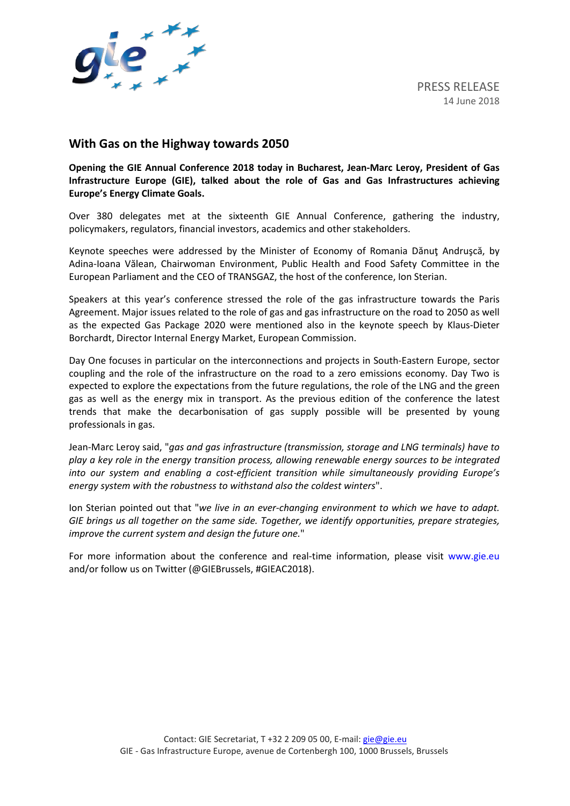

## **With Gas on the Highway towards 2050**

**Opening the GIE Annual Conference 2018 today in Bucharest, Jean-Marc Leroy, President of Gas Infrastructure Europe (GIE), talked about the role of Gas and Gas Infrastructures achieving Europe's Energy Climate Goals.** 

Over 380 delegates met at the sixteenth GIE Annual Conference, gathering the industry, policymakers, regulators, financial investors, academics and other stakeholders.

Keynote speeches were addressed by the Minister of Economy of Romania Dănuţ Andruşcă, by Adina-Ioana Vălean, Chairwoman Environment, Public Health and Food Safety Committee in the European Parliament and the CEO of TRANSGAZ, the host of the conference, Ion Sterian.

Speakers at this year's conference stressed the role of the gas infrastructure towards the Paris Agreement. Major issues related to the role of gas and gas infrastructure on the road to 2050 as well as the expected Gas Package 2020 were mentioned also in the keynote speech by Klaus-Dieter Borchardt, Director Internal Energy Market, European Commission.

Day One focuses in particular on the interconnections and projects in South-Eastern Europe, sector coupling and the role of the infrastructure on the road to a zero emissions economy. Day Two is expected to explore the expectations from the future regulations, the role of the LNG and the green gas as well as the energy mix in transport. As the previous edition of the conference the latest trends that make the decarbonisation of gas supply possible will be presented by young professionals in gas.

Jean-Marc Leroy said, "*gas and gas infrastructure (transmission, storage and LNG terminals) have to play a key role in the energy transition process, allowing renewable energy sources to be integrated into our system and enabling a cost-efficient transition while simultaneously providing Europe's energy system with the robustness to withstand also the coldest winters*".

Ion Sterian pointed out that "*we live in an ever-changing environment to which we have to adapt. GIE brings us all together on the same side. Together, we identify opportunities, prepare strategies, improve the current system and design the future one.*"

For more information about the conference and real-time information, please visit [www.gie.eu](http://www.gie.eu/) and/or follow us on Twitter (@GIEBrussels, #GIEAC2018).